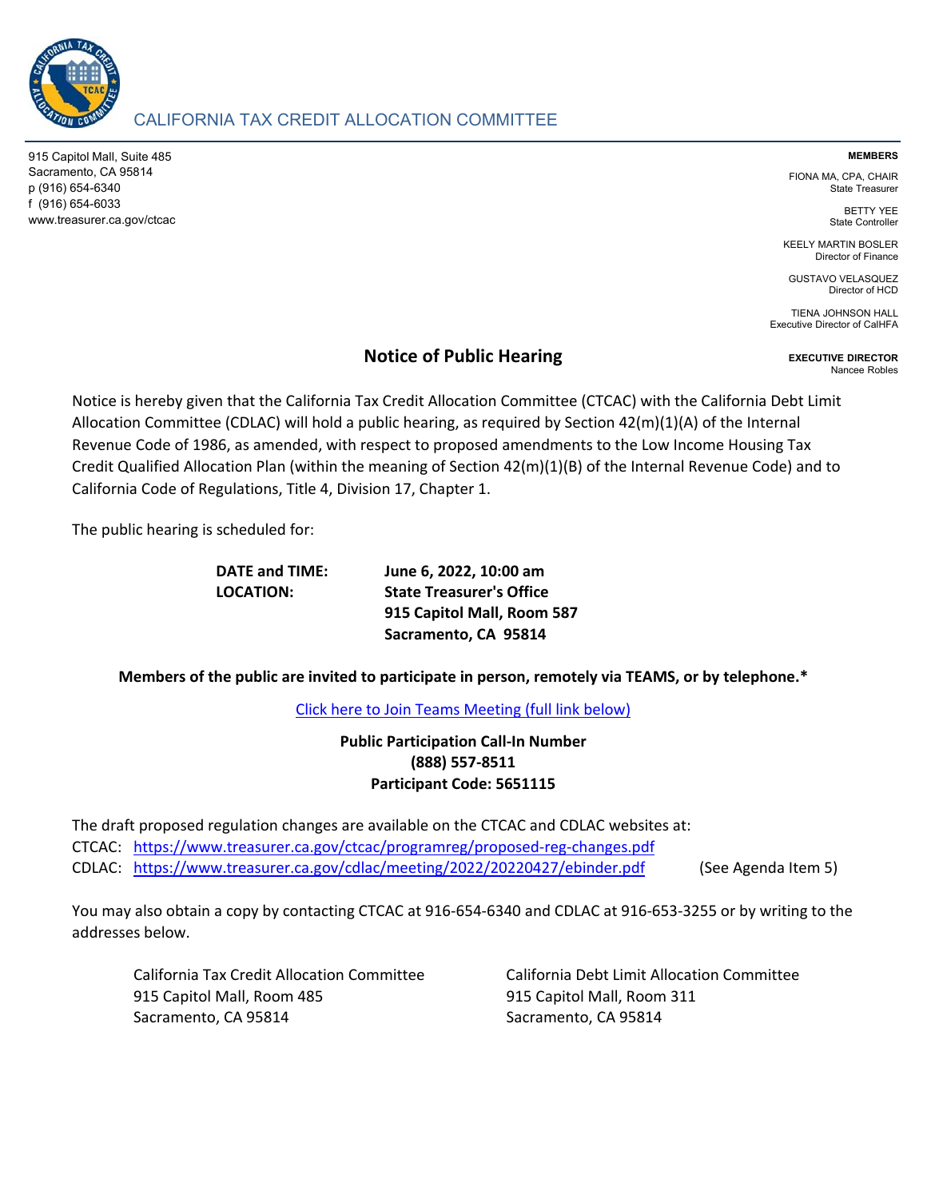

# CALIFORNIA TAX CREDIT ALLOCATION COMMITTEE

915 Capitol Mall, Suite 485 Sacramento, CA 95814 p (916) 654-6340 f (916) 654-6033 www.treasurer.ca.gov/ctcac

### **MEMBERS**

FIONA MA, CPA, CHAIR State Treasurer

> BETTY YEE State Controller

KEELY MARTIN BOSLER Director of Finance

GUSTAVO VELASQUEZ Director of HCD

TIENA JOHNSON HALL Executive Director of CalHFA

## **Notice of Public Hearing**

**EXECUTIVE DIRECTOR** Nancee Robles

Notice is hereby given that the California Tax Credit Allocation Committee (CTCAC) with the California Debt Limit Allocation Committee (CDLAC) will hold a public hearing, as required by Section 42(m)(1)(A) of the Internal Revenue Code of 1986, as amended, with respect to proposed amendments to the Low Income Housing Tax Credit Qualified Allocation Plan (within the meaning of Section 42(m)(1)(B) of the Internal Revenue Code) and to California Code of Regulations, Title 4, Division 17, Chapter 1.

The public hearing is scheduled for:

**DATE and TIME: June 6, 2022, 10:00 am LOCATION: State Treasurer's Office 915 Capitol Mall, Room 587 Sacramento, CA 95814**

**Members of the public are invited to participate in person, remotely via TEAMS, or by telephone.\***

[Click here to Join Teams Meeting \(full link below\)](https://teams.microsoft.com/l/meetup-join/19%3ameeting_NDBhNzJkYmYtYWEzZC00NjM3LWEyMmUtMDIyYTQwN2RhZTcw%40thread.v2/0?context=%7b%22Tid%22%3a%223bee5c8a-6cb4-4c10-a77b-cd2eaeb7534e%22%2c%22Oid%22%3a%22f3fc5ca6-ee10-4849-9497-a76e07f79e6e%22%7d)

**Public Participation Call‐In Number (888) 557‐8511 Participant Code: 5651115**

CTCAC: [https://www.treasurer.ca.gov/ctcac/programreg/proposed‐reg‐changes.pdf](https://www.treasurer.ca.gov/ctcac/programreg/proposed-reg-changes.pdf) CDLAC: <https://www.treasurer.ca.gov/cdlac/meeting/2022/20220427/ebinder.pdf> (See Agenda Item 5) The draft proposed regulation changes are available on the CTCAC and CDLAC websites at:

You may also obtain a copy by contacting CTCAC at 916‐654‐6340 and CDLAC at 916‐653‐3255 or by writing to the addresses below.

915 Capitol Mall, Room 485 915 Capitol Mall, Room 311 Sacramento, CA 95814 Sacramento, CA 95814

California Tax Credit Allocation Committee California Debt Limit Allocation Committee